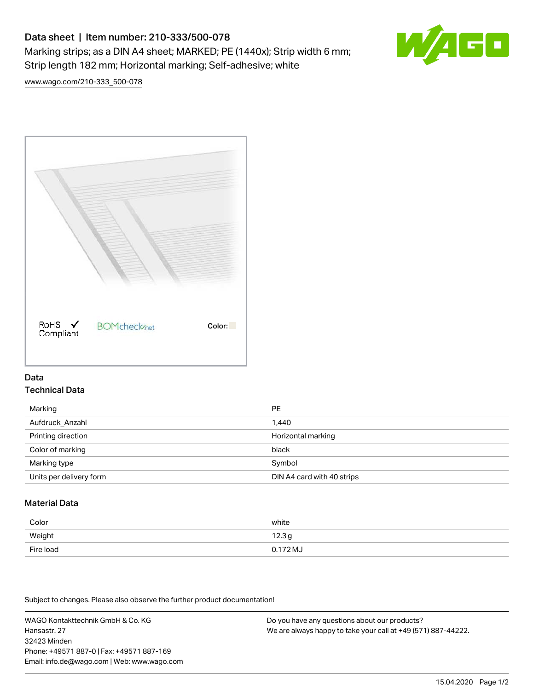# Data sheet | Item number: 210-333/500-078 Marking strips; as a DIN A4 sheet; MARKED; PE (1440x); Strip width 6 mm; Strip length 182 mm; Horizontal marking; Self-adhesive; white



[www.wago.com/210-333\\_500-078](http://www.wago.com/210-333_500-078)



#### Data Technical Data

| Marking                 | <b>PE</b>                  |
|-------------------------|----------------------------|
| Aufdruck Anzahl         | 1,440                      |
| Printing direction      | Horizontal marking         |
| Color of marking        | black                      |
| Marking type            | Symbol                     |
| Units per delivery form | DIN A4 card with 40 strips |

## Material Data

| Color     | white               |
|-----------|---------------------|
| Weight    | 12.3g               |
| Fire load | $0.172 \mathrm{MJ}$ |

Subject to changes. Please also observe the further product documentation!

WAGO Kontakttechnik GmbH & Co. KG Hansastr. 27 32423 Minden Phone: +49571 887-0 | Fax: +49571 887-169 Email: info.de@wago.com | Web: www.wago.com

Do you have any questions about our products? We are always happy to take your call at +49 (571) 887-44222.